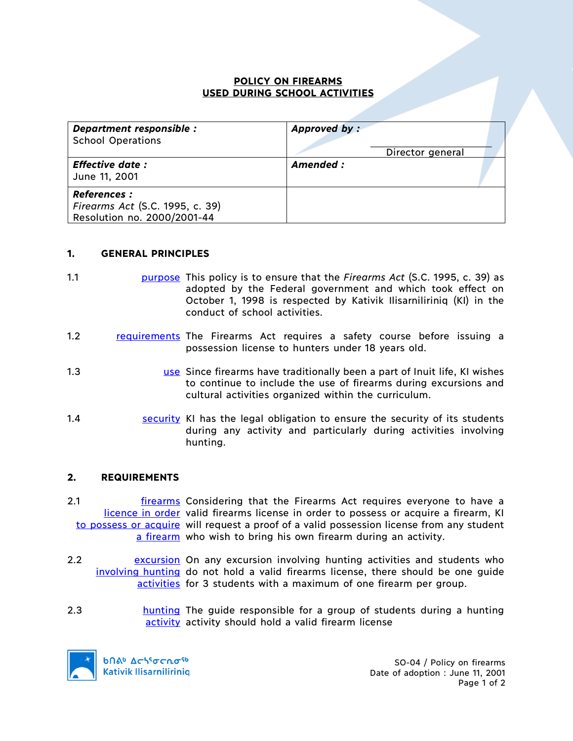## **POLICY ON FIREARMS USED DURING SCHOOL ACTIVITIES**

| Department responsible :<br><b>School Operations</b>                                 | Approved by:<br>Director general |  |
|--------------------------------------------------------------------------------------|----------------------------------|--|
| <b>Effective date:</b><br>June 11, 2001                                              | Amended :                        |  |
| <b>References:</b><br>Firearms Act (S.C. 1995, c. 39)<br>Resolution no. 2000/2001-44 |                                  |  |

## **1. GENERAL PRINCIPLES**

- 1.1 purpose This policy is to ensure that the *Firearms Act* (S.C. 1995, c. 39) as adopted by the Federal government and which took effect on October 1, 1998 is respected by Kativik Ilisarniliriniq (KI) in the conduct of school activities.
- 1.2 **requirements** The Firearms Act requires a safety course before issuing a possession license to hunters under 18 years old.
- 1.3 use Since firearms have traditionally been a part of Inuit life, KI wishes to continue to include the use of firearms during excursions and cultural activities organized within the curriculum.
- 1.4 **SECUPTENT SECUPTER SECUPTER SECURITEES SECURITEES SECURITEES SECURITEES SECURITEES SECURITEES SECURITEES** during any activity and particularly during activities involving hunting.

## **2. REQUIREMENTS**

2.1 *Firearms* Considering that the Firearms Act requires everyone to have a licence in order valid firearms license in order to possess or acquire a firearm, KI to possess or acquire will request a proof of a valid possession license from any student a firearm who wish to bring his own firearm during an activity.

- 2.2 **Examilies Excursion** On any excursion involving hunting activities and students who involving hunting do not hold a valid firearms license, there should be one guide activities for 3 students with a maximum of one firearm per group.
- 2.3 hunting The guide responsible for a group of students during a hunting activity activity should hold a valid firearm license



bበል<sup>b</sup> Δς<sup>ις</sup>σς ησ<sup>ς 6</sup> **Kativik Ilisarniliriniq** 

SO-04 / Policy on firearms Date of adoption : June 11, 2001 Page 1 of 2